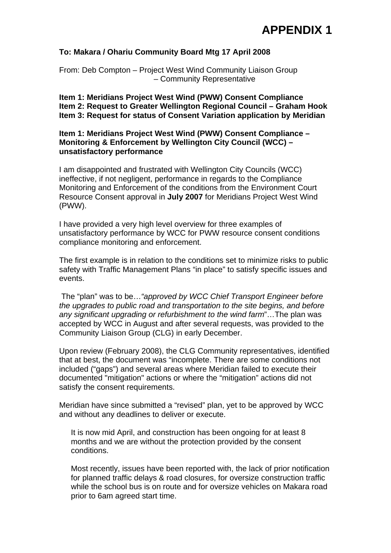# **APPENDIX 1**

### **To: Makara / Ohariu Community Board Mtg 17 April 2008**

From: Deb Compton – Project West Wind Community Liaison Group – Community Representative

**Item 1: Meridians Project West Wind (PWW) Consent Compliance Item 2: Request to Greater Wellington Regional Council – Graham Hook Item 3: Request for status of Consent Variation application by Meridian**

### **Item 1: Meridians Project West Wind (PWW) Consent Compliance – Monitoring & Enforcement by Wellington City Council (WCC) – unsatisfactory performance**

I am disappointed and frustrated with Wellington City Councils (WCC) ineffective, if not negligent, performance in regards to the Compliance Monitoring and Enforcement of the conditions from the Environment Court Resource Consent approval in **July 2007** for Meridians Project West Wind (PWW).

I have provided a very high level overview for three examples of unsatisfactory performance by WCC for PWW resource consent conditions compliance monitoring and enforcement.

The first example is in relation to the conditions set to minimize risks to public safety with Traffic Management Plans "in place" to satisfy specific issues and events.

 The "plan" was to be…*"approved by WCC Chief Transport Engineer before the upgrades to public road and transportation to the site begins, and before any significant upgrading or refurbishment to the wind farm*"…The plan was accepted by WCC in August and after several requests, was provided to the Community Liaison Group (CLG) in early December.

Upon review (February 2008), the CLG Community representatives, identified that at best, the document was "incomplete. There are some conditions not included ("gaps") and several areas where Meridian failed to execute their documented "mitigation" actions or where the "mitigation" actions did not satisfy the consent requirements.

Meridian have since submitted a "revised" plan, yet to be approved by WCC and without any deadlines to deliver or execute.

It is now mid April, and construction has been ongoing for at least 8 months and we are without the protection provided by the consent conditions.

Most recently, issues have been reported with, the lack of prior notification for planned traffic delays & road closures, for oversize construction traffic while the school bus is on route and for oversize vehicles on Makara road prior to 6am agreed start time.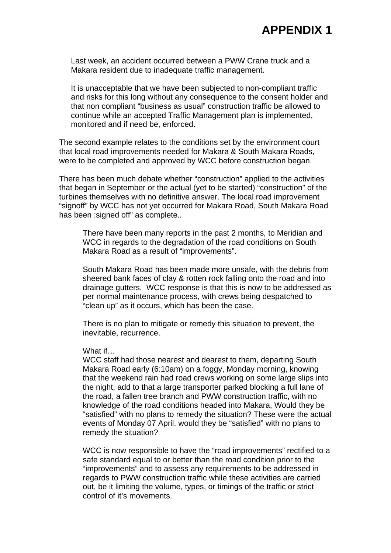## **APPENDIX 1**

Last week, an accident occurred between a PWW Crane truck and a Makara resident due to inadequate traffic management.

It is unacceptable that we have been subjected to non-compliant traffic and risks for this long without any consequence to the consent holder and that non compliant "business as usual" construction traffic be allowed to continue while an accepted Traffic Management plan is implemented, monitored and if need be, enforced.

The second example relates to the conditions set by the environment court that local road improvements needed for Makara & South Makara Roads, were to be completed and approved by WCC before construction began.

There has been much debate whether "construction" applied to the activities that began in September or the actual (yet to be started) "construction" of the turbines themselves with no definitive answer. The local road improvement "signoff" by WCC has not yet occurred for Makara Road, South Makara Road has been : signed off" as complete..

There have been many reports in the past 2 months, to Meridian and WCC in regards to the degradation of the road conditions on South Makara Road as a result of "improvements".

South Makara Road has been made more unsafe, with the debris from sheered bank faces of clay & rotten rock falling onto the road and into drainage gutters. WCC response is that this is now to be addressed as per normal maintenance process, with crews being despatched to "clean up" as it occurs, which has been the case.

There is no plan to mitigate or remedy this situation to prevent, the inevitable, recurrence.

#### What if…

WCC staff had those nearest and dearest to them, departing South Makara Road early (6:10am) on a foggy, Monday morning, knowing that the weekend rain had road crews working on some large slips into the night, add to that a large transporter parked blocking a full lane of the road, a fallen tree branch and PWW construction traffic, with no knowledge of the road conditions headed into Makara, Would they be "satisfied" with no plans to remedy the situation? These were the actual events of Monday 07 April. would they be "satisfied" with no plans to remedy the situation?

WCC is now responsible to have the "road improvements" rectified to a safe standard equal to or better than the road condition prior to the "improvements" and to assess any requirements to be addressed in regards to PWW construction traffic while these activities are carried out, be it limiting the volume, types, or timings of the traffic or strict control of it's movements.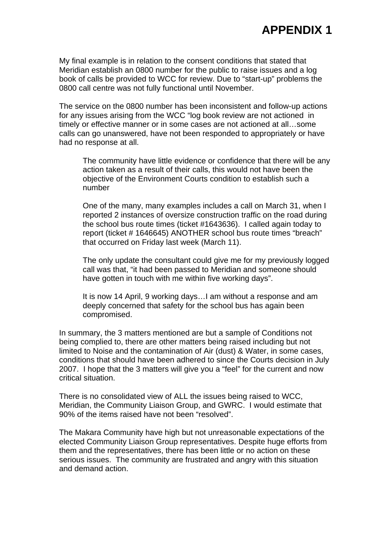My final example is in relation to the consent conditions that stated that Meridian establish an 0800 number for the public to raise issues and a log book of calls be provided to WCC for review. Due to "start-up" problems the 0800 call centre was not fully functional until November.

The service on the 0800 number has been inconsistent and follow-up actions for any issues arising from the WCC "log book review are not actioned in timely or effective manner or in some cases are not actioned at all…some calls can go unanswered, have not been responded to appropriately or have had no response at all.

The community have little evidence or confidence that there will be any action taken as a result of their calls, this would not have been the objective of the Environment Courts condition to establish such a number

One of the many, many examples includes a call on March 31, when I reported 2 instances of oversize construction traffic on the road during the school bus route times (ticket #1643636). I called again today to report (ticket # 1646645) ANOTHER school bus route times "breach" that occurred on Friday last week (March 11).

The only update the consultant could give me for my previously logged call was that, "it had been passed to Meridian and someone should have gotten in touch with me within five working days".

It is now 14 April, 9 working days…I am without a response and am deeply concerned that safety for the school bus has again been compromised.

In summary, the 3 matters mentioned are but a sample of Conditions not being complied to, there are other matters being raised including but not limited to Noise and the contamination of Air (dust) & Water, in some cases, conditions that should have been adhered to since the Courts decision in July 2007. I hope that the 3 matters will give you a "feel" for the current and now critical situation.

There is no consolidated view of ALL the issues being raised to WCC, Meridian, the Community Liaison Group, and GWRC. I would estimate that 90% of the items raised have not been "resolved".

The Makara Community have high but not unreasonable expectations of the elected Community Liaison Group representatives. Despite huge efforts from them and the representatives, there has been little or no action on these serious issues. The community are frustrated and angry with this situation and demand action.